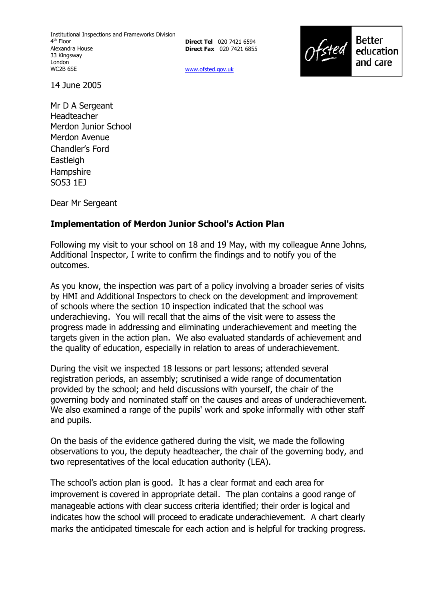Institutional Inspections and Frameworks Division 4<sup>th</sup> Floor Alexandra House 33 Kingsway London WC2B 6SE

**Direct Tel** 020 7421 6594 **Direct Fax** 020 7421 6855



www.ofsted.gov.uk

14 June 2005

Mr D A Sergeant Headteacher Merdon Junior School Merdon Avenue Chandler's Ford Eastleigh **Hampshire** SO53 1EJ

Dear Mr Sergeant

## **Implementation of Merdon Junior School's Action Plan**

Following my visit to your school on 18 and 19 May, with my colleague Anne Johns, Additional Inspector, I write to confirm the findings and to notify you of the outcomes.

As you know, the inspection was part of a policy involving a broader series of visits by HMI and Additional Inspectors to check on the development and improvement of schools where the section 10 inspection indicated that the school was underachieving. You will recall that the aims of the visit were to assess the progress made in addressing and eliminating underachievement and meeting the targets given in the action plan. We also evaluated standards of achievement and the quality of education, especially in relation to areas of underachievement.

During the visit we inspected 18 lessons or part lessons; attended several registration periods, an assembly; scrutinised a wide range of documentation provided by the school; and held discussions with yourself, the chair of the governing body and nominated staff on the causes and areas of underachievement. We also examined a range of the pupils' work and spoke informally with other staff and pupils.

On the basis of the evidence gathered during the visit, we made the following observations to you, the deputy headteacher, the chair of the governing body, and two representatives of the local education authority (LEA).

The schoolís action plan is good. It has a clear format and each area for improvement is covered in appropriate detail. The plan contains a good range of manageable actions with clear success criteria identified; their order is logical and indicates how the school will proceed to eradicate underachievement. A chart clearly marks the anticipated timescale for each action and is helpful for tracking progress.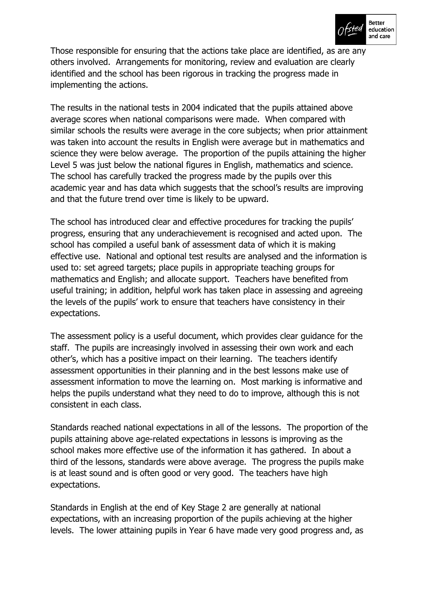

Those responsible for ensuring that the actions take place are identified, as are any others involved. Arrangements for monitoring, review and evaluation are clearly identified and the school has been rigorous in tracking the progress made in implementing the actions.

The results in the national tests in 2004 indicated that the pupils attained above average scores when national comparisons were made. When compared with similar schools the results were average in the core subjects; when prior attainment was taken into account the results in English were average but in mathematics and science they were below average. The proportion of the pupils attaining the higher Level 5 was just below the national figures in English, mathematics and science. The school has carefully tracked the progress made by the pupils over this academic year and has data which suggests that the school's results are improving and that the future trend over time is likely to be upward.

The school has introduced clear and effective procedures for tracking the pupils' progress, ensuring that any underachievement is recognised and acted upon. The school has compiled a useful bank of assessment data of which it is making effective use. National and optional test results are analysed and the information is used to: set agreed targets; place pupils in appropriate teaching groups for mathematics and English; and allocate support. Teachers have benefited from useful training; in addition, helpful work has taken place in assessing and agreeing the levels of the pupilsí work to ensure that teachers have consistency in their expectations.

The assessment policy is a useful document, which provides clear guidance for the staff. The pupils are increasingly involved in assessing their own work and each otherís, which has a positive impact on their learning. The teachers identify assessment opportunities in their planning and in the best lessons make use of assessment information to move the learning on. Most marking is informative and helps the pupils understand what they need to do to improve, although this is not consistent in each class.

Standards reached national expectations in all of the lessons. The proportion of the pupils attaining above age-related expectations in lessons is improving as the school makes more effective use of the information it has gathered. In about a third of the lessons, standards were above average. The progress the pupils make is at least sound and is often good or very good. The teachers have high expectations.

Standards in English at the end of Key Stage 2 are generally at national expectations, with an increasing proportion of the pupils achieving at the higher levels. The lower attaining pupils in Year 6 have made very good progress and, as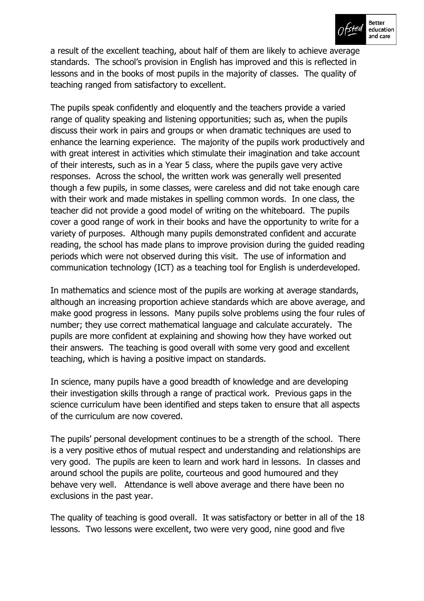

a result of the excellent teaching, about half of them are likely to achieve average standards. The school's provision in English has improved and this is reflected in lessons and in the books of most pupils in the majority of classes. The quality of teaching ranged from satisfactory to excellent.

The pupils speak confidently and eloquently and the teachers provide a varied range of quality speaking and listening opportunities; such as, when the pupils discuss their work in pairs and groups or when dramatic techniques are used to enhance the learning experience. The majority of the pupils work productively and with great interest in activities which stimulate their imagination and take account of their interests, such as in a Year 5 class, where the pupils gave very active responses. Across the school, the written work was generally well presented though a few pupils, in some classes, were careless and did not take enough care with their work and made mistakes in spelling common words. In one class, the teacher did not provide a good model of writing on the whiteboard. The pupils cover a good range of work in their books and have the opportunity to write for a variety of purposes. Although many pupils demonstrated confident and accurate reading, the school has made plans to improve provision during the guided reading periods which were not observed during this visit. The use of information and communication technology (ICT) as a teaching tool for English is underdeveloped.

In mathematics and science most of the pupils are working at average standards, although an increasing proportion achieve standards which are above average, and make good progress in lessons. Many pupils solve problems using the four rules of number; they use correct mathematical language and calculate accurately. The pupils are more confident at explaining and showing how they have worked out their answers. The teaching is good overall with some very good and excellent teaching, which is having a positive impact on standards.

In science, many pupils have a good breadth of knowledge and are developing their investigation skills through a range of practical work. Previous gaps in the science curriculum have been identified and steps taken to ensure that all aspects of the curriculum are now covered.

The pupils' personal development continues to be a strength of the school. There is a very positive ethos of mutual respect and understanding and relationships are very good. The pupils are keen to learn and work hard in lessons. In classes and around school the pupils are polite, courteous and good humoured and they behave very well. Attendance is well above average and there have been no exclusions in the past year.

The quality of teaching is good overall. It was satisfactory or better in all of the 18 lessons. Two lessons were excellent, two were very good, nine good and five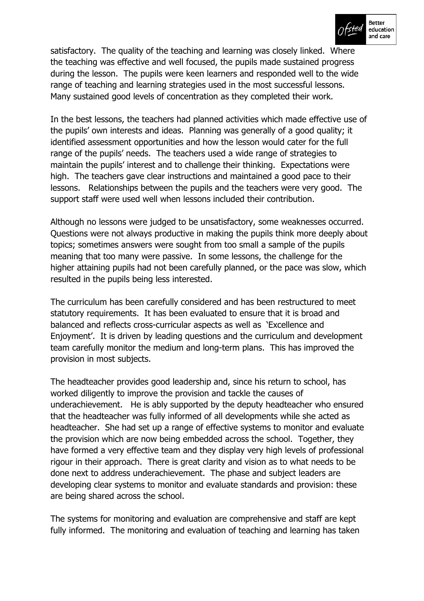

satisfactory. The quality of the teaching and learning was closely linked. Where the teaching was effective and well focused, the pupils made sustained progress during the lesson. The pupils were keen learners and responded well to the wide range of teaching and learning strategies used in the most successful lessons. Many sustained good levels of concentration as they completed their work.

In the best lessons, the teachers had planned activities which made effective use of the pupils' own interests and ideas. Planning was generally of a good quality; it identified assessment opportunities and how the lesson would cater for the full range of the pupilsí needs. The teachers used a wide range of strategies to maintain the pupils' interest and to challenge their thinking. Expectations were high. The teachers gave clear instructions and maintained a good pace to their lessons. Relationships between the pupils and the teachers were very good. The support staff were used well when lessons included their contribution.

Although no lessons were judged to be unsatisfactory, some weaknesses occurred. Questions were not always productive in making the pupils think more deeply about topics; sometimes answers were sought from too small a sample of the pupils meaning that too many were passive. In some lessons, the challenge for the higher attaining pupils had not been carefully planned, or the pace was slow, which resulted in the pupils being less interested.

The curriculum has been carefully considered and has been restructured to meet statutory requirements. It has been evaluated to ensure that it is broad and balanced and reflects cross-curricular aspects as well as 'Excellence and Enjoyment'. It is driven by leading questions and the curriculum and development team carefully monitor the medium and long-term plans. This has improved the provision in most subjects.

The headteacher provides good leadership and, since his return to school, has worked diligently to improve the provision and tackle the causes of underachievement. He is ably supported by the deputy headteacher who ensured that the headteacher was fully informed of all developments while she acted as headteacher. She had set up a range of effective systems to monitor and evaluate the provision which are now being embedded across the school. Together, they have formed a very effective team and they display very high levels of professional rigour in their approach. There is great clarity and vision as to what needs to be done next to address underachievement. The phase and subject leaders are developing clear systems to monitor and evaluate standards and provision: these are being shared across the school.

The systems for monitoring and evaluation are comprehensive and staff are kept fully informed. The monitoring and evaluation of teaching and learning has taken